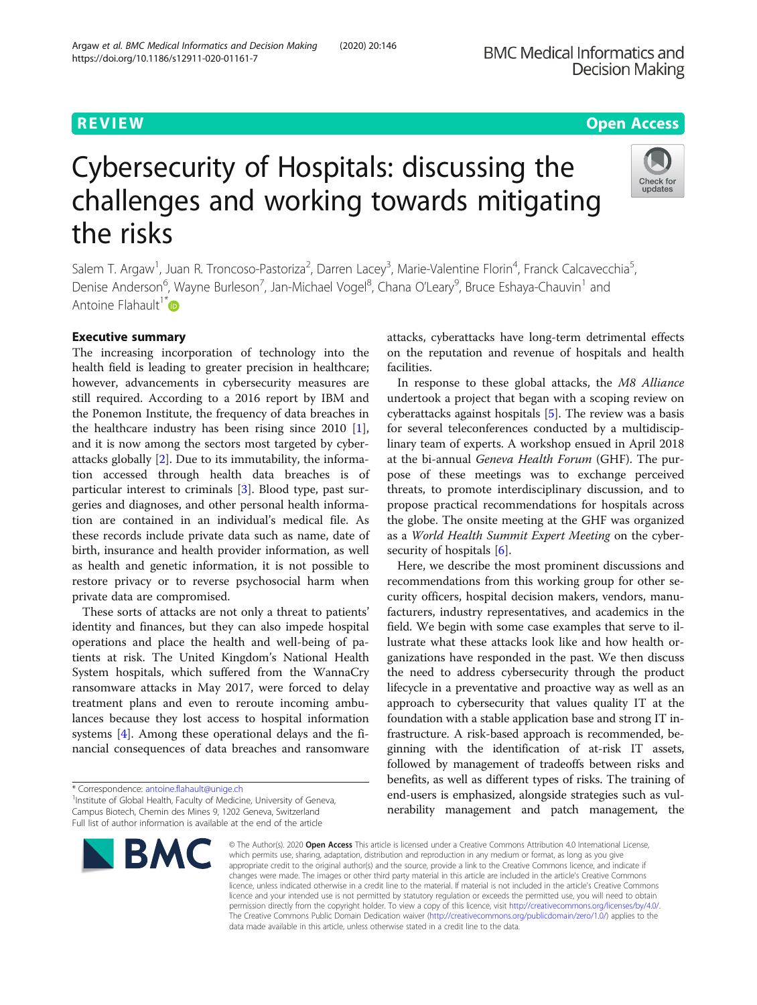# **REVIEW ACCESS AND LOCAL CONTRACT CONTRACT OF ACCESS**

Check for updates

# Cybersecurity of Hospitals: discussing the challenges and working towards mitigating the risks

Salem T. Argaw<sup>1</sup>, Juan R. Troncoso-Pastoriza<sup>2</sup>, Darren Lacey<sup>3</sup>, Marie-Valentine Florin<sup>4</sup>, Franck Calcavecchia<sup>5</sup> , Denise Anderson<sup>6</sup>, Wayne Burleson<sup>7</sup>, Jan-Michael Vogel<sup>8</sup>, Chana O'Leary<sup>9</sup>, Bruce Eshaya-Chauvin<sup>1</sup> and Antoine Flahault<sup>1[\\*](http://orcid.org/0000-0002-6957-2977)</sup> $\bullet$ 

# Executive summary

The increasing incorporation of technology into the health field is leading to greater precision in healthcare; however, advancements in cybersecurity measures are still required. According to a 2016 report by IBM and the Ponemon Institute, the frequency of data breaches in the healthcare industry has been rising since 2010 [\[1](#page-8-0)], and it is now among the sectors most targeted by cyberattacks globally [\[2](#page-8-0)]. Due to its immutability, the information accessed through health data breaches is of particular interest to criminals [[3\]](#page-8-0). Blood type, past surgeries and diagnoses, and other personal health information are contained in an individual's medical file. As these records include private data such as name, date of birth, insurance and health provider information, as well as health and genetic information, it is not possible to restore privacy or to reverse psychosocial harm when private data are compromised.

These sorts of attacks are not only a threat to patients' identity and finances, but they can also impede hospital operations and place the health and well-being of patients at risk. The United Kingdom's National Health System hospitals, which suffered from the WannaCry ransomware attacks in May 2017, were forced to delay treatment plans and even to reroute incoming ambulances because they lost access to hospital information systems [\[4](#page-8-0)]. Among these operational delays and the financial consequences of data breaches and ransomware

<sup>&</sup>lt;sup>1</sup> Institute of Global Health, Faculty of Medicine, University of Geneva, Campus Biotech, Chemin des Mines 9, 1202 Geneva, Switzerland Full list of author information is available at the end of the article



attacks, cyberattacks have long-term detrimental effects on the reputation and revenue of hospitals and health facilities.

In response to these global attacks, the M8 Alliance undertook a project that began with a scoping review on cyberattacks against hospitals [\[5](#page-8-0)]. The review was a basis for several teleconferences conducted by a multidisciplinary team of experts. A workshop ensued in April 2018 at the bi-annual Geneva Health Forum (GHF). The purpose of these meetings was to exchange perceived threats, to promote interdisciplinary discussion, and to propose practical recommendations for hospitals across the globe. The onsite meeting at the GHF was organized as a World Health Summit Expert Meeting on the cyber-security of hospitals [\[6](#page-8-0)].

Here, we describe the most prominent discussions and recommendations from this working group for other security officers, hospital decision makers, vendors, manufacturers, industry representatives, and academics in the field. We begin with some case examples that serve to illustrate what these attacks look like and how health organizations have responded in the past. We then discuss the need to address cybersecurity through the product lifecycle in a preventative and proactive way as well as an approach to cybersecurity that values quality IT at the foundation with a stable application base and strong IT infrastructure. A risk-based approach is recommended, beginning with the identification of at-risk IT assets, followed by management of tradeoffs between risks and benefits, as well as different types of risks. The training of end-users is emphasized, alongside strategies such as vulnerability management and patch management, the

© The Author(s), 2020 **Open Access** This article is licensed under a Creative Commons Attribution 4.0 International License, which permits use, sharing, adaptation, distribution and reproduction in any medium or format, as long as you give appropriate credit to the original author(s) and the source, provide a link to the Creative Commons licence, and indicate if changes were made. The images or other third party material in this article are included in the article's Creative Commons licence, unless indicated otherwise in a credit line to the material. If material is not included in the article's Creative Commons licence and your intended use is not permitted by statutory regulation or exceeds the permitted use, you will need to obtain permission directly from the copyright holder. To view a copy of this licence, visit [http://creativecommons.org/licenses/by/4.0/.](http://creativecommons.org/licenses/by/4.0/) The Creative Commons Public Domain Dedication waiver [\(http://creativecommons.org/publicdomain/zero/1.0/](http://creativecommons.org/publicdomain/zero/1.0/)) applies to the data made available in this article, unless otherwise stated in a credit line to the data.

<sup>\*</sup> Correspondence: [antoine.flahault@unige.ch](mailto:antoine.flahault@unige.ch) <sup>1</sup>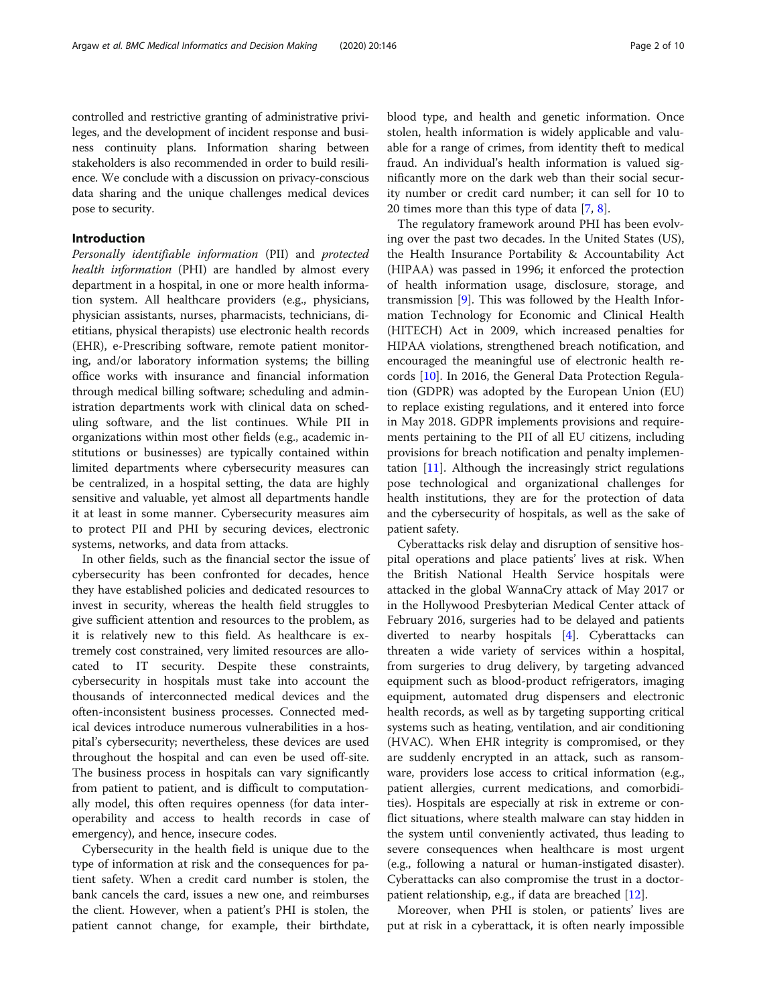controlled and restrictive granting of administrative privileges, and the development of incident response and business continuity plans. Information sharing between stakeholders is also recommended in order to build resilience. We conclude with a discussion on privacy-conscious data sharing and the unique challenges medical devices pose to security.

# Introduction

Personally identifiable information (PII) and protected health information (PHI) are handled by almost every department in a hospital, in one or more health information system. All healthcare providers (e.g., physicians, physician assistants, nurses, pharmacists, technicians, dietitians, physical therapists) use electronic health records (EHR), e-Prescribing software, remote patient monitoring, and/or laboratory information systems; the billing office works with insurance and financial information through medical billing software; scheduling and administration departments work with clinical data on scheduling software, and the list continues. While PII in organizations within most other fields (e.g., academic institutions or businesses) are typically contained within limited departments where cybersecurity measures can be centralized, in a hospital setting, the data are highly sensitive and valuable, yet almost all departments handle it at least in some manner. Cybersecurity measures aim to protect PII and PHI by securing devices, electronic systems, networks, and data from attacks.

In other fields, such as the financial sector the issue of cybersecurity has been confronted for decades, hence they have established policies and dedicated resources to invest in security, whereas the health field struggles to give sufficient attention and resources to the problem, as it is relatively new to this field. As healthcare is extremely cost constrained, very limited resources are allocated to IT security. Despite these constraints, cybersecurity in hospitals must take into account the thousands of interconnected medical devices and the often-inconsistent business processes. Connected medical devices introduce numerous vulnerabilities in a hospital's cybersecurity; nevertheless, these devices are used throughout the hospital and can even be used off-site. The business process in hospitals can vary significantly from patient to patient, and is difficult to computationally model, this often requires openness (for data interoperability and access to health records in case of emergency), and hence, insecure codes.

Cybersecurity in the health field is unique due to the type of information at risk and the consequences for patient safety. When a credit card number is stolen, the bank cancels the card, issues a new one, and reimburses the client. However, when a patient's PHI is stolen, the patient cannot change, for example, their birthdate, blood type, and health and genetic information. Once stolen, health information is widely applicable and valuable for a range of crimes, from identity theft to medical fraud. An individual's health information is valued significantly more on the dark web than their social security number or credit card number; it can sell for 10 to 20 times more than this type of data [\[7](#page-8-0), [8](#page-8-0)].

The regulatory framework around PHI has been evolving over the past two decades. In the United States (US), the Health Insurance Portability & Accountability Act (HIPAA) was passed in 1996; it enforced the protection of health information usage, disclosure, storage, and transmission [\[9\]](#page-8-0). This was followed by the Health Information Technology for Economic and Clinical Health (HITECH) Act in 2009, which increased penalties for HIPAA violations, strengthened breach notification, and encouraged the meaningful use of electronic health records [\[10](#page-8-0)]. In 2016, the General Data Protection Regulation (GDPR) was adopted by the European Union (EU) to replace existing regulations, and it entered into force in May 2018. GDPR implements provisions and requirements pertaining to the PII of all EU citizens, including provisions for breach notification and penalty implementation [\[11\]](#page-8-0). Although the increasingly strict regulations pose technological and organizational challenges for health institutions, they are for the protection of data and the cybersecurity of hospitals, as well as the sake of patient safety.

Cyberattacks risk delay and disruption of sensitive hospital operations and place patients' lives at risk. When the British National Health Service hospitals were attacked in the global WannaCry attack of May 2017 or in the Hollywood Presbyterian Medical Center attack of February 2016, surgeries had to be delayed and patients diverted to nearby hospitals [\[4](#page-8-0)]. Cyberattacks can threaten a wide variety of services within a hospital, from surgeries to drug delivery, by targeting advanced equipment such as blood-product refrigerators, imaging equipment, automated drug dispensers and electronic health records, as well as by targeting supporting critical systems such as heating, ventilation, and air conditioning (HVAC). When EHR integrity is compromised, or they are suddenly encrypted in an attack, such as ransomware, providers lose access to critical information (e.g., patient allergies, current medications, and comorbidities). Hospitals are especially at risk in extreme or conflict situations, where stealth malware can stay hidden in the system until conveniently activated, thus leading to severe consequences when healthcare is most urgent (e.g., following a natural or human-instigated disaster). Cyberattacks can also compromise the trust in a doctorpatient relationship, e.g., if data are breached [[12](#page-8-0)].

Moreover, when PHI is stolen, or patients' lives are put at risk in a cyberattack, it is often nearly impossible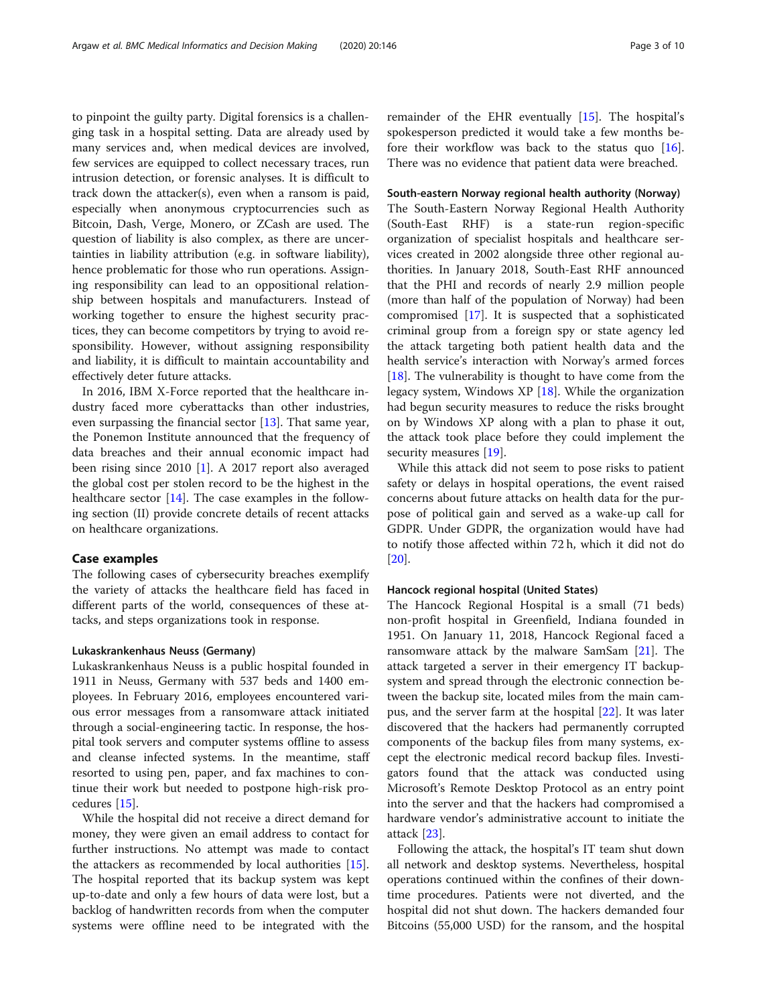to pinpoint the guilty party. Digital forensics is a challenging task in a hospital setting. Data are already used by many services and, when medical devices are involved, few services are equipped to collect necessary traces, run intrusion detection, or forensic analyses. It is difficult to track down the attacker(s), even when a ransom is paid, especially when anonymous cryptocurrencies such as Bitcoin, Dash, Verge, Monero, or ZCash are used. The question of liability is also complex, as there are uncertainties in liability attribution (e.g. in software liability), hence problematic for those who run operations. Assigning responsibility can lead to an oppositional relationship between hospitals and manufacturers. Instead of working together to ensure the highest security practices, they can become competitors by trying to avoid responsibility. However, without assigning responsibility and liability, it is difficult to maintain accountability and effectively deter future attacks.

In 2016, IBM X-Force reported that the healthcare industry faced more cyberattacks than other industries, even surpassing the financial sector [[13](#page-8-0)]. That same year, the Ponemon Institute announced that the frequency of data breaches and their annual economic impact had been rising since 2010 [[1](#page-8-0)]. A 2017 report also averaged the global cost per stolen record to be the highest in the healthcare sector [[14](#page-8-0)]. The case examples in the following section (II) provide concrete details of recent attacks on healthcare organizations.

#### Case examples

The following cases of cybersecurity breaches exemplify the variety of attacks the healthcare field has faced in different parts of the world, consequences of these attacks, and steps organizations took in response.

#### Lukaskrankenhaus Neuss (Germany)

Lukaskrankenhaus Neuss is a public hospital founded in 1911 in Neuss, Germany with 537 beds and 1400 employees. In February 2016, employees encountered various error messages from a ransomware attack initiated through a social-engineering tactic. In response, the hospital took servers and computer systems offline to assess and cleanse infected systems. In the meantime, staff resorted to using pen, paper, and fax machines to continue their work but needed to postpone high-risk procedures [[15\]](#page-8-0).

While the hospital did not receive a direct demand for money, they were given an email address to contact for further instructions. No attempt was made to contact the attackers as recommended by local authorities [\[15](#page-8-0)]. The hospital reported that its backup system was kept up-to-date and only a few hours of data were lost, but a backlog of handwritten records from when the computer systems were offline need to be integrated with the

remainder of the EHR eventually [\[15](#page-8-0)]. The hospital's spokesperson predicted it would take a few months before their workflow was back to the status quo [\[16](#page-8-0)]. There was no evidence that patient data were breached.

### South-eastern Norway regional health authority (Norway)

The South-Eastern Norway Regional Health Authority (South-East RHF) is a state-run region-specific organization of specialist hospitals and healthcare services created in 2002 alongside three other regional authorities. In January 2018, South-East RHF announced that the PHI and records of nearly 2.9 million people (more than half of the population of Norway) had been compromised [[17](#page-8-0)]. It is suspected that a sophisticated criminal group from a foreign spy or state agency led the attack targeting both patient health data and the health service's interaction with Norway's armed forces [[18\]](#page-8-0). The vulnerability is thought to have come from the legacy system, Windows  $XP$  [[18\]](#page-8-0). While the organization had begun security measures to reduce the risks brought on by Windows XP along with a plan to phase it out, the attack took place before they could implement the security measures [\[19](#page-8-0)].

While this attack did not seem to pose risks to patient safety or delays in hospital operations, the event raised concerns about future attacks on health data for the purpose of political gain and served as a wake-up call for GDPR. Under GDPR, the organization would have had to notify those affected within 72 h, which it did not do [[20\]](#page-8-0).

#### Hancock regional hospital (United States)

The Hancock Regional Hospital is a small (71 beds) non-profit hospital in Greenfield, Indiana founded in 1951. On January 11, 2018, Hancock Regional faced a ransomware attack by the malware SamSam [\[21](#page-8-0)]. The attack targeted a server in their emergency IT backupsystem and spread through the electronic connection between the backup site, located miles from the main campus, and the server farm at the hospital [\[22\]](#page-8-0). It was later discovered that the hackers had permanently corrupted components of the backup files from many systems, except the electronic medical record backup files. Investigators found that the attack was conducted using Microsoft's Remote Desktop Protocol as an entry point into the server and that the hackers had compromised a hardware vendor's administrative account to initiate the attack [\[23](#page-8-0)].

Following the attack, the hospital's IT team shut down all network and desktop systems. Nevertheless, hospital operations continued within the confines of their downtime procedures. Patients were not diverted, and the hospital did not shut down. The hackers demanded four Bitcoins (55,000 USD) for the ransom, and the hospital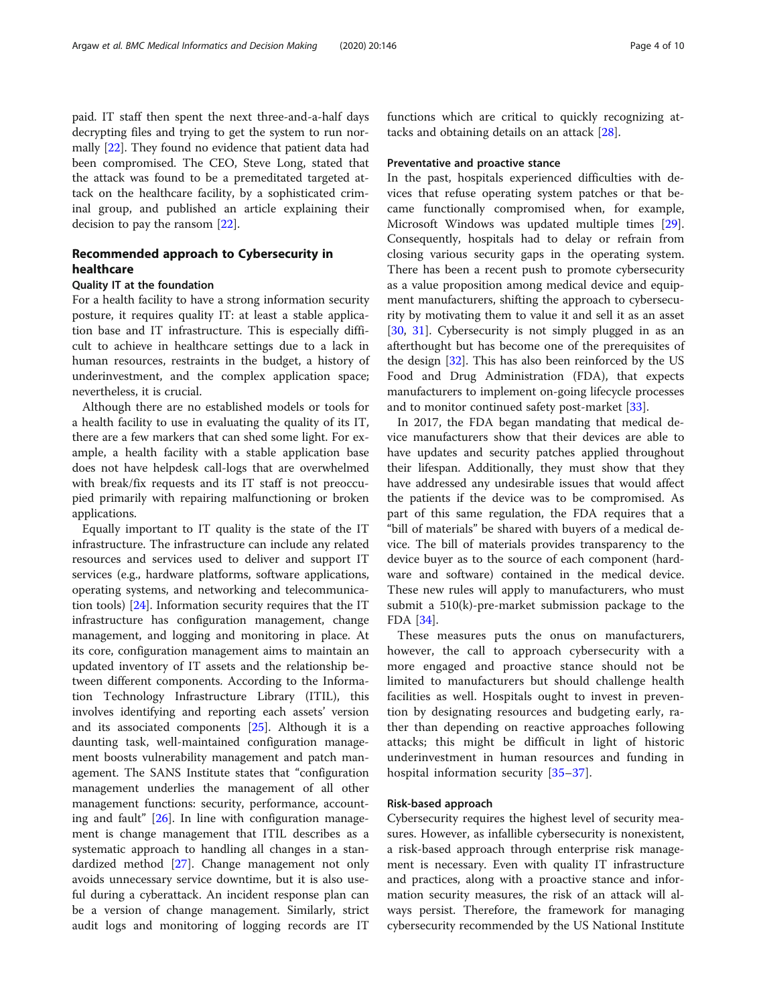paid. IT staff then spent the next three-and-a-half days decrypting files and trying to get the system to run normally [[22\]](#page-8-0). They found no evidence that patient data had been compromised. The CEO, Steve Long, stated that the attack was found to be a premeditated targeted attack on the healthcare facility, by a sophisticated criminal group, and published an article explaining their decision to pay the ransom [[22\]](#page-8-0).

# Recommended approach to Cybersecurity in healthcare

# Quality IT at the foundation

For a health facility to have a strong information security posture, it requires quality IT: at least a stable application base and IT infrastructure. This is especially difficult to achieve in healthcare settings due to a lack in human resources, restraints in the budget, a history of underinvestment, and the complex application space; nevertheless, it is crucial.

Although there are no established models or tools for a health facility to use in evaluating the quality of its IT, there are a few markers that can shed some light. For example, a health facility with a stable application base does not have helpdesk call-logs that are overwhelmed with break/fix requests and its IT staff is not preoccupied primarily with repairing malfunctioning or broken applications.

Equally important to IT quality is the state of the IT infrastructure. The infrastructure can include any related resources and services used to deliver and support IT services (e.g., hardware platforms, software applications, operating systems, and networking and telecommunication tools) [[24\]](#page-9-0). Information security requires that the IT infrastructure has configuration management, change management, and logging and monitoring in place. At its core, configuration management aims to maintain an updated inventory of IT assets and the relationship between different components. According to the Information Technology Infrastructure Library (ITIL), this involves identifying and reporting each assets' version and its associated components [\[25\]](#page-9-0). Although it is a daunting task, well-maintained configuration management boosts vulnerability management and patch management. The SANS Institute states that "configuration management underlies the management of all other management functions: security, performance, accounting and fault"  $[26]$  $[26]$ . In line with configuration management is change management that ITIL describes as a systematic approach to handling all changes in a standardized method [[27\]](#page-9-0). Change management not only avoids unnecessary service downtime, but it is also useful during a cyberattack. An incident response plan can be a version of change management. Similarly, strict audit logs and monitoring of logging records are IT functions which are critical to quickly recognizing attacks and obtaining details on an attack [\[28](#page-9-0)].

#### Preventative and proactive stance

In the past, hospitals experienced difficulties with devices that refuse operating system patches or that became functionally compromised when, for example, Microsoft Windows was updated multiple times [\[29](#page-9-0)]. Consequently, hospitals had to delay or refrain from closing various security gaps in the operating system. There has been a recent push to promote cybersecurity as a value proposition among medical device and equipment manufacturers, shifting the approach to cybersecurity by motivating them to value it and sell it as an asset [[30,](#page-9-0) [31](#page-9-0)]. Cybersecurity is not simply plugged in as an afterthought but has become one of the prerequisites of the design [[32](#page-9-0)]. This has also been reinforced by the US Food and Drug Administration (FDA), that expects manufacturers to implement on-going lifecycle processes and to monitor continued safety post-market [[33\]](#page-9-0).

In 2017, the FDA began mandating that medical device manufacturers show that their devices are able to have updates and security patches applied throughout their lifespan. Additionally, they must show that they have addressed any undesirable issues that would affect the patients if the device was to be compromised. As part of this same regulation, the FDA requires that a "bill of materials" be shared with buyers of a medical device. The bill of materials provides transparency to the device buyer as to the source of each component (hardware and software) contained in the medical device. These new rules will apply to manufacturers, who must submit a 510(k)-pre-market submission package to the FDA [\[34\]](#page-9-0).

These measures puts the onus on manufacturers, however, the call to approach cybersecurity with a more engaged and proactive stance should not be limited to manufacturers but should challenge health facilities as well. Hospitals ought to invest in prevention by designating resources and budgeting early, rather than depending on reactive approaches following attacks; this might be difficult in light of historic underinvestment in human resources and funding in hospital information security [\[35](#page-9-0)–[37](#page-9-0)].

#### Risk-based approach

Cybersecurity requires the highest level of security measures. However, as infallible cybersecurity is nonexistent, a risk-based approach through enterprise risk management is necessary. Even with quality IT infrastructure and practices, along with a proactive stance and information security measures, the risk of an attack will always persist. Therefore, the framework for managing cybersecurity recommended by the US National Institute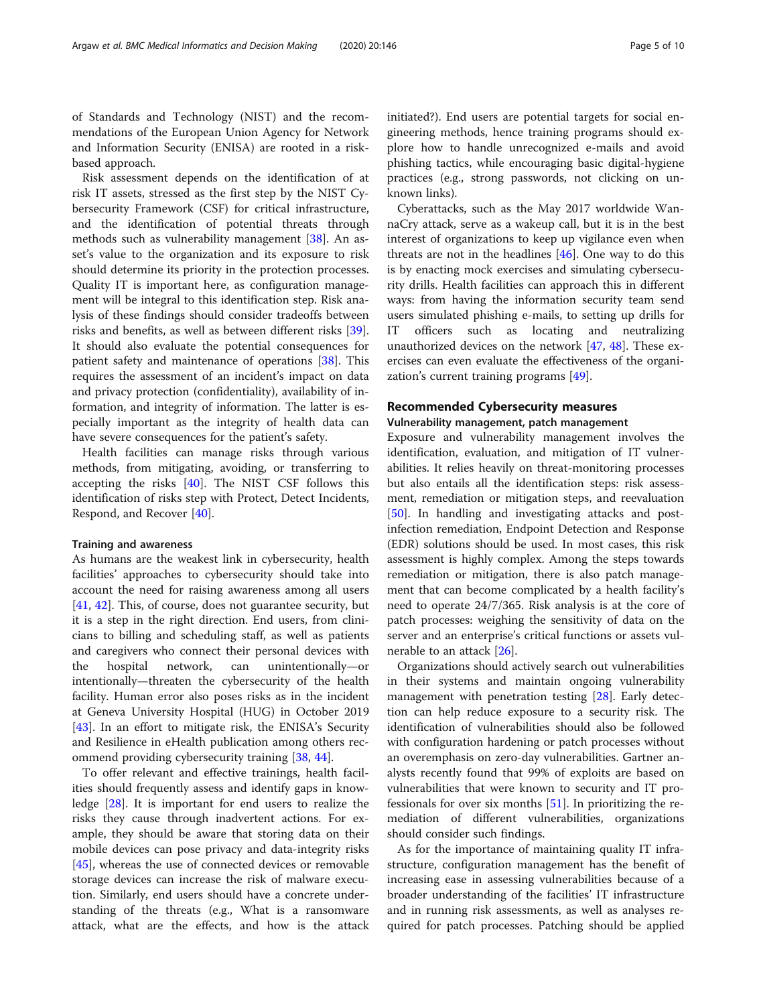of Standards and Technology (NIST) and the recommendations of the European Union Agency for Network and Information Security (ENISA) are rooted in a riskbased approach.

Risk assessment depends on the identification of at risk IT assets, stressed as the first step by the NIST Cybersecurity Framework (CSF) for critical infrastructure, and the identification of potential threats through methods such as vulnerability management [[38\]](#page-9-0). An asset's value to the organization and its exposure to risk should determine its priority in the protection processes. Quality IT is important here, as configuration management will be integral to this identification step. Risk analysis of these findings should consider tradeoffs between risks and benefits, as well as between different risks [\[39](#page-9-0)]. It should also evaluate the potential consequences for patient safety and maintenance of operations [\[38\]](#page-9-0). This requires the assessment of an incident's impact on data and privacy protection (confidentiality), availability of information, and integrity of information. The latter is especially important as the integrity of health data can have severe consequences for the patient's safety.

Health facilities can manage risks through various methods, from mitigating, avoiding, or transferring to accepting the risks [\[40](#page-9-0)]. The NIST CSF follows this identification of risks step with Protect, Detect Incidents, Respond, and Recover [[40](#page-9-0)].

#### Training and awareness

As humans are the weakest link in cybersecurity, health facilities' approaches to cybersecurity should take into account the need for raising awareness among all users [[41,](#page-9-0) [42\]](#page-9-0). This, of course, does not guarantee security, but it is a step in the right direction. End users, from clinicians to billing and scheduling staff, as well as patients and caregivers who connect their personal devices with the hospital network, can unintentionally—or intentionally—threaten the cybersecurity of the health facility. Human error also poses risks as in the incident at Geneva University Hospital (HUG) in October 2019 [[43\]](#page-9-0). In an effort to mitigate risk, the ENISA's Security and Resilience in eHealth publication among others recommend providing cybersecurity training [[38](#page-9-0), [44](#page-9-0)].

To offer relevant and effective trainings, health facilities should frequently assess and identify gaps in knowledge [[28](#page-9-0)]. It is important for end users to realize the risks they cause through inadvertent actions. For example, they should be aware that storing data on their mobile devices can pose privacy and data-integrity risks [[45\]](#page-9-0), whereas the use of connected devices or removable storage devices can increase the risk of malware execution. Similarly, end users should have a concrete understanding of the threats (e.g., What is a ransomware attack, what are the effects, and how is the attack initiated?). End users are potential targets for social engineering methods, hence training programs should explore how to handle unrecognized e-mails and avoid phishing tactics, while encouraging basic digital-hygiene practices (e.g., strong passwords, not clicking on unknown links).

Cyberattacks, such as the May 2017 worldwide WannaCry attack, serve as a wakeup call, but it is in the best interest of organizations to keep up vigilance even when threats are not in the headlines [[46](#page-9-0)]. One way to do this is by enacting mock exercises and simulating cybersecurity drills. Health facilities can approach this in different ways: from having the information security team send users simulated phishing e-mails, to setting up drills for IT officers such as locating and neutralizing unauthorized devices on the network [[47](#page-9-0), [48\]](#page-9-0). These exercises can even evaluate the effectiveness of the organization's current training programs [\[49\]](#page-9-0).

#### Recommended Cybersecurity measures

# Vulnerability management, patch management

Exposure and vulnerability management involves the identification, evaluation, and mitigation of IT vulnerabilities. It relies heavily on threat-monitoring processes but also entails all the identification steps: risk assessment, remediation or mitigation steps, and reevaluation [[50\]](#page-9-0). In handling and investigating attacks and postinfection remediation, Endpoint Detection and Response (EDR) solutions should be used. In most cases, this risk assessment is highly complex. Among the steps towards remediation or mitigation, there is also patch management that can become complicated by a health facility's need to operate 24/7/365. Risk analysis is at the core of patch processes: weighing the sensitivity of data on the server and an enterprise's critical functions or assets vulnerable to an attack [\[26\]](#page-9-0).

Organizations should actively search out vulnerabilities in their systems and maintain ongoing vulnerability management with penetration testing [\[28](#page-9-0)]. Early detection can help reduce exposure to a security risk. The identification of vulnerabilities should also be followed with configuration hardening or patch processes without an overemphasis on zero-day vulnerabilities. Gartner analysts recently found that 99% of exploits are based on vulnerabilities that were known to security and IT professionals for over six months [[51\]](#page-9-0). In prioritizing the remediation of different vulnerabilities, organizations should consider such findings.

As for the importance of maintaining quality IT infrastructure, configuration management has the benefit of increasing ease in assessing vulnerabilities because of a broader understanding of the facilities' IT infrastructure and in running risk assessments, as well as analyses required for patch processes. Patching should be applied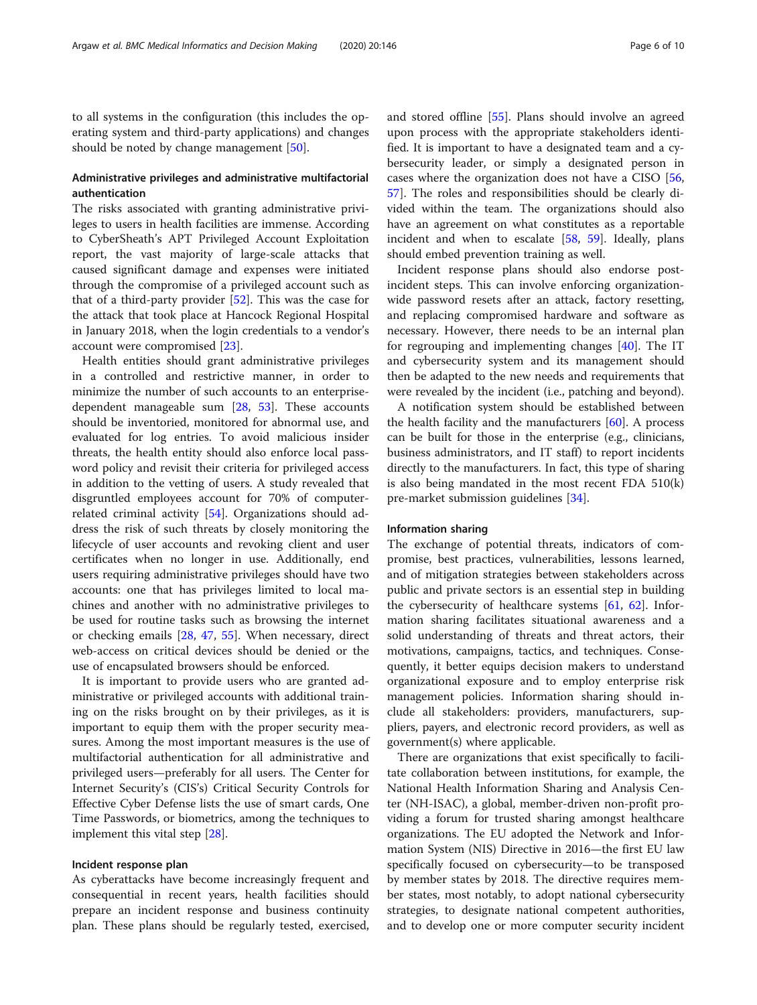to all systems in the configuration (this includes the operating system and third-party applications) and changes should be noted by change management [\[50](#page-9-0)].

# Administrative privileges and administrative multifactorial authentication

The risks associated with granting administrative privileges to users in health facilities are immense. According to CyberSheath's APT Privileged Account Exploitation report, the vast majority of large-scale attacks that caused significant damage and expenses were initiated through the compromise of a privileged account such as that of a third-party provider [[52\]](#page-9-0). This was the case for the attack that took place at Hancock Regional Hospital in January 2018, when the login credentials to a vendor's account were compromised [\[23\]](#page-8-0).

Health entities should grant administrative privileges in a controlled and restrictive manner, in order to minimize the number of such accounts to an enterprisedependent manageable sum [\[28](#page-9-0), [53](#page-9-0)]. These accounts should be inventoried, monitored for abnormal use, and evaluated for log entries. To avoid malicious insider threats, the health entity should also enforce local password policy and revisit their criteria for privileged access in addition to the vetting of users. A study revealed that disgruntled employees account for 70% of computerrelated criminal activity [\[54\]](#page-9-0). Organizations should address the risk of such threats by closely monitoring the lifecycle of user accounts and revoking client and user certificates when no longer in use. Additionally, end users requiring administrative privileges should have two accounts: one that has privileges limited to local machines and another with no administrative privileges to be used for routine tasks such as browsing the internet or checking emails [\[28](#page-9-0), [47](#page-9-0), [55](#page-9-0)]. When necessary, direct web-access on critical devices should be denied or the use of encapsulated browsers should be enforced.

It is important to provide users who are granted administrative or privileged accounts with additional training on the risks brought on by their privileges, as it is important to equip them with the proper security measures. Among the most important measures is the use of multifactorial authentication for all administrative and privileged users—preferably for all users. The Center for Internet Security's (CIS's) Critical Security Controls for Effective Cyber Defense lists the use of smart cards, One Time Passwords, or biometrics, among the techniques to implement this vital step [\[28](#page-9-0)].

#### Incident response plan

As cyberattacks have become increasingly frequent and consequential in recent years, health facilities should prepare an incident response and business continuity plan. These plans should be regularly tested, exercised, and stored offline [\[55\]](#page-9-0). Plans should involve an agreed upon process with the appropriate stakeholders identified. It is important to have a designated team and a cybersecurity leader, or simply a designated person in cases where the organization does not have a CISO [[56](#page-9-0), [57\]](#page-9-0). The roles and responsibilities should be clearly divided within the team. The organizations should also have an agreement on what constitutes as a reportable incident and when to escalate [[58,](#page-9-0) [59](#page-9-0)]. Ideally, plans should embed prevention training as well.

Incident response plans should also endorse postincident steps. This can involve enforcing organizationwide password resets after an attack, factory resetting, and replacing compromised hardware and software as necessary. However, there needs to be an internal plan for regrouping and implementing changes [\[40\]](#page-9-0). The IT and cybersecurity system and its management should then be adapted to the new needs and requirements that were revealed by the incident (i.e., patching and beyond).

A notification system should be established between the health facility and the manufacturers  $[60]$  $[60]$  $[60]$ . A process can be built for those in the enterprise (e.g., clinicians, business administrators, and IT staff) to report incidents directly to the manufacturers. In fact, this type of sharing is also being mandated in the most recent FDA 510(k) pre-market submission guidelines [[34\]](#page-9-0).

#### Information sharing

The exchange of potential threats, indicators of compromise, best practices, vulnerabilities, lessons learned, and of mitigation strategies between stakeholders across public and private sectors is an essential step in building the cybersecurity of healthcare systems [[61](#page-9-0), [62\]](#page-9-0). Information sharing facilitates situational awareness and a solid understanding of threats and threat actors, their motivations, campaigns, tactics, and techniques. Consequently, it better equips decision makers to understand organizational exposure and to employ enterprise risk management policies. Information sharing should include all stakeholders: providers, manufacturers, suppliers, payers, and electronic record providers, as well as government(s) where applicable.

There are organizations that exist specifically to facilitate collaboration between institutions, for example, the National Health Information Sharing and Analysis Center (NH-ISAC), a global, member-driven non-profit providing a forum for trusted sharing amongst healthcare organizations. The EU adopted the Network and Information System (NIS) Directive in 2016—the first EU law specifically focused on cybersecurity—to be transposed by member states by 2018. The directive requires member states, most notably, to adopt national cybersecurity strategies, to designate national competent authorities, and to develop one or more computer security incident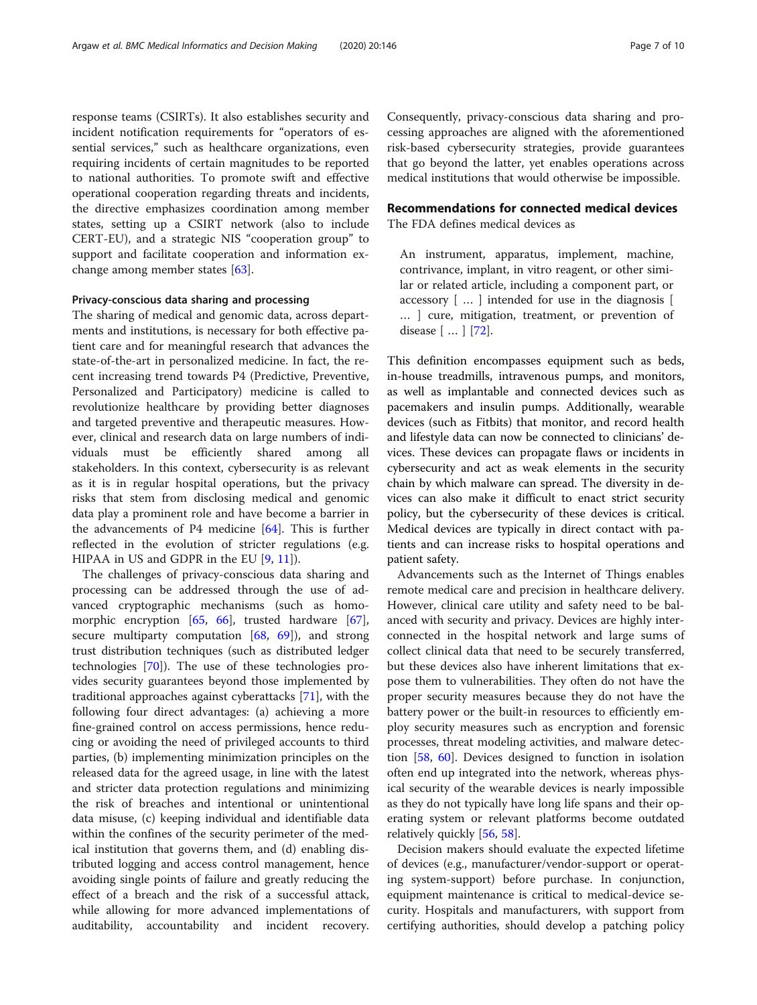response teams (CSIRTs). It also establishes security and incident notification requirements for "operators of essential services," such as healthcare organizations, even requiring incidents of certain magnitudes to be reported to national authorities. To promote swift and effective operational cooperation regarding threats and incidents, the directive emphasizes coordination among member states, setting up a CSIRT network (also to include CERT-EU), and a strategic NIS "cooperation group" to support and facilitate cooperation and information exchange among member states [[63\]](#page-9-0).

#### Privacy-conscious data sharing and processing

The sharing of medical and genomic data, across departments and institutions, is necessary for both effective patient care and for meaningful research that advances the state-of-the-art in personalized medicine. In fact, the recent increasing trend towards P4 (Predictive, Preventive, Personalized and Participatory) medicine is called to revolutionize healthcare by providing better diagnoses and targeted preventive and therapeutic measures. However, clinical and research data on large numbers of individuals must be efficiently shared among all stakeholders. In this context, cybersecurity is as relevant as it is in regular hospital operations, but the privacy risks that stem from disclosing medical and genomic data play a prominent role and have become a barrier in the advancements of P4 medicine [[64\]](#page-9-0). This is further reflected in the evolution of stricter regulations (e.g. HIPAA in US and GDPR in the EU  $[9, 11]$  $[9, 11]$  $[9, 11]$  $[9, 11]$ ).

The challenges of privacy-conscious data sharing and processing can be addressed through the use of advanced cryptographic mechanisms (such as homomorphic encryption [[65](#page-9-0), [66](#page-9-0)], trusted hardware [\[67](#page-9-0)], secure multiparty computation  $[68, 69]$  $[68, 69]$  $[68, 69]$  $[68, 69]$  $[68, 69]$ , and strong trust distribution techniques (such as distributed ledger technologies [[70](#page-9-0)]). The use of these technologies provides security guarantees beyond those implemented by traditional approaches against cyberattacks [[71](#page-9-0)], with the following four direct advantages: (a) achieving a more fine-grained control on access permissions, hence reducing or avoiding the need of privileged accounts to third parties, (b) implementing minimization principles on the released data for the agreed usage, in line with the latest and stricter data protection regulations and minimizing the risk of breaches and intentional or unintentional data misuse, (c) keeping individual and identifiable data within the confines of the security perimeter of the medical institution that governs them, and (d) enabling distributed logging and access control management, hence avoiding single points of failure and greatly reducing the effect of a breach and the risk of a successful attack, while allowing for more advanced implementations of auditability, accountability and incident recovery. Consequently, privacy-conscious data sharing and processing approaches are aligned with the aforementioned risk-based cybersecurity strategies, provide guarantees that go beyond the latter, yet enables operations across medical institutions that would otherwise be impossible.

# Recommendations for connected medical devices

The FDA defines medical devices as

An instrument, apparatus, implement, machine, contrivance, implant, in vitro reagent, or other similar or related article, including a component part, or accessory [ … ] intended for use in the diagnosis [ … ] cure, mitigation, treatment, or prevention of disease [ … ] [[72\]](#page-9-0).

This definition encompasses equipment such as beds, in-house treadmills, intravenous pumps, and monitors, as well as implantable and connected devices such as pacemakers and insulin pumps. Additionally, wearable devices (such as Fitbits) that monitor, and record health and lifestyle data can now be connected to clinicians' devices. These devices can propagate flaws or incidents in cybersecurity and act as weak elements in the security chain by which malware can spread. The diversity in devices can also make it difficult to enact strict security policy, but the cybersecurity of these devices is critical. Medical devices are typically in direct contact with patients and can increase risks to hospital operations and patient safety.

Advancements such as the Internet of Things enables remote medical care and precision in healthcare delivery. However, clinical care utility and safety need to be balanced with security and privacy. Devices are highly interconnected in the hospital network and large sums of collect clinical data that need to be securely transferred, but these devices also have inherent limitations that expose them to vulnerabilities. They often do not have the proper security measures because they do not have the battery power or the built-in resources to efficiently employ security measures such as encryption and forensic processes, threat modeling activities, and malware detection [[58](#page-9-0), [60\]](#page-9-0). Devices designed to function in isolation often end up integrated into the network, whereas physical security of the wearable devices is nearly impossible as they do not typically have long life spans and their operating system or relevant platforms become outdated relatively quickly [[56,](#page-9-0) [58](#page-9-0)].

Decision makers should evaluate the expected lifetime of devices (e.g., manufacturer/vendor-support or operating system-support) before purchase. In conjunction, equipment maintenance is critical to medical-device security. Hospitals and manufacturers, with support from certifying authorities, should develop a patching policy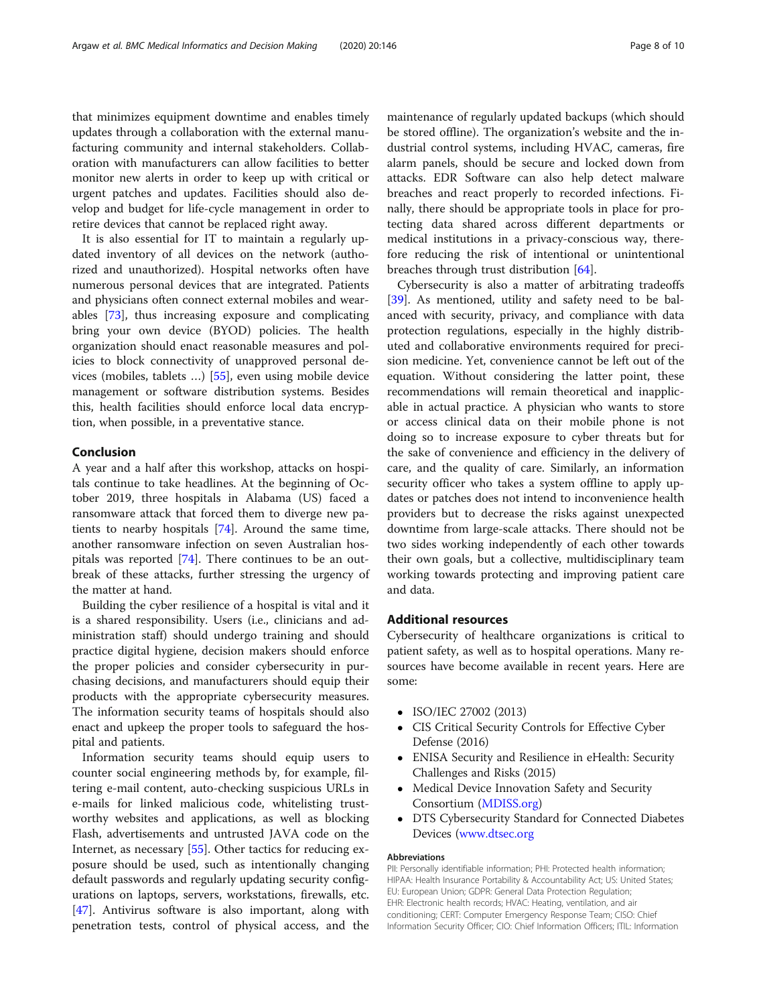that minimizes equipment downtime and enables timely updates through a collaboration with the external manufacturing community and internal stakeholders. Collaboration with manufacturers can allow facilities to better monitor new alerts in order to keep up with critical or urgent patches and updates. Facilities should also develop and budget for life-cycle management in order to retire devices that cannot be replaced right away.

It is also essential for IT to maintain a regularly updated inventory of all devices on the network (authorized and unauthorized). Hospital networks often have numerous personal devices that are integrated. Patients and physicians often connect external mobiles and wearables [\[73](#page-9-0)], thus increasing exposure and complicating bring your own device (BYOD) policies. The health organization should enact reasonable measures and policies to block connectivity of unapproved personal devices (mobiles, tablets …) [\[55\]](#page-9-0), even using mobile device management or software distribution systems. Besides this, health facilities should enforce local data encryption, when possible, in a preventative stance.

#### Conclusion

A year and a half after this workshop, attacks on hospitals continue to take headlines. At the beginning of October 2019, three hospitals in Alabama (US) faced a ransomware attack that forced them to diverge new patients to nearby hospitals [[74\]](#page-9-0). Around the same time, another ransomware infection on seven Australian hospitals was reported [\[74](#page-9-0)]. There continues to be an outbreak of these attacks, further stressing the urgency of the matter at hand.

Building the cyber resilience of a hospital is vital and it is a shared responsibility. Users (i.e., clinicians and administration staff) should undergo training and should practice digital hygiene, decision makers should enforce the proper policies and consider cybersecurity in purchasing decisions, and manufacturers should equip their products with the appropriate cybersecurity measures. The information security teams of hospitals should also enact and upkeep the proper tools to safeguard the hospital and patients.

Information security teams should equip users to counter social engineering methods by, for example, filtering e-mail content, auto-checking suspicious URLs in e-mails for linked malicious code, whitelisting trustworthy websites and applications, as well as blocking Flash, advertisements and untrusted JAVA code on the Internet, as necessary [[55](#page-9-0)]. Other tactics for reducing exposure should be used, such as intentionally changing default passwords and regularly updating security configurations on laptops, servers, workstations, firewalls, etc. [[47\]](#page-9-0). Antivirus software is also important, along with penetration tests, control of physical access, and the maintenance of regularly updated backups (which should be stored offline). The organization's website and the industrial control systems, including HVAC, cameras, fire alarm panels, should be secure and locked down from attacks. EDR Software can also help detect malware breaches and react properly to recorded infections. Finally, there should be appropriate tools in place for protecting data shared across different departments or medical institutions in a privacy-conscious way, therefore reducing the risk of intentional or unintentional breaches through trust distribution [[64](#page-9-0)].

Cybersecurity is also a matter of arbitrating tradeoffs [[39\]](#page-9-0). As mentioned, utility and safety need to be balanced with security, privacy, and compliance with data protection regulations, especially in the highly distributed and collaborative environments required for precision medicine. Yet, convenience cannot be left out of the equation. Without considering the latter point, these recommendations will remain theoretical and inapplicable in actual practice. A physician who wants to store or access clinical data on their mobile phone is not doing so to increase exposure to cyber threats but for the sake of convenience and efficiency in the delivery of care, and the quality of care. Similarly, an information security officer who takes a system offline to apply updates or patches does not intend to inconvenience health providers but to decrease the risks against unexpected downtime from large-scale attacks. There should not be two sides working independently of each other towards their own goals, but a collective, multidisciplinary team working towards protecting and improving patient care and data.

# Additional resources

Cybersecurity of healthcare organizations is critical to patient safety, as well as to hospital operations. Many resources have become available in recent years. Here are some:

- ISO/IEC 27002 (2013)
- CIS Critical Security Controls for Effective Cyber Defense (2016)
- ENISA Security and Resilience in eHealth: Security Challenges and Risks (2015)
- Medical Device Innovation Safety and Security Consortium [\(MDISS.org\)](http://mdiss.org)
- DTS Cybersecurity Standard for Connected Diabetes Devices ([www.dtsec.org](http://www.dtsec.org)

#### Abbreviations

PII: Personally identifiable information; PHI: Protected health information; HIPAA: Health Insurance Portability & Accountability Act; US: United States; EU: European Union; GDPR: General Data Protection Regulation; EHR: Electronic health records; HVAC: Heating, ventilation, and air conditioning; CERT: Computer Emergency Response Team; CISO: Chief Information Security Officer; CIO: Chief Information Officers; ITIL: Information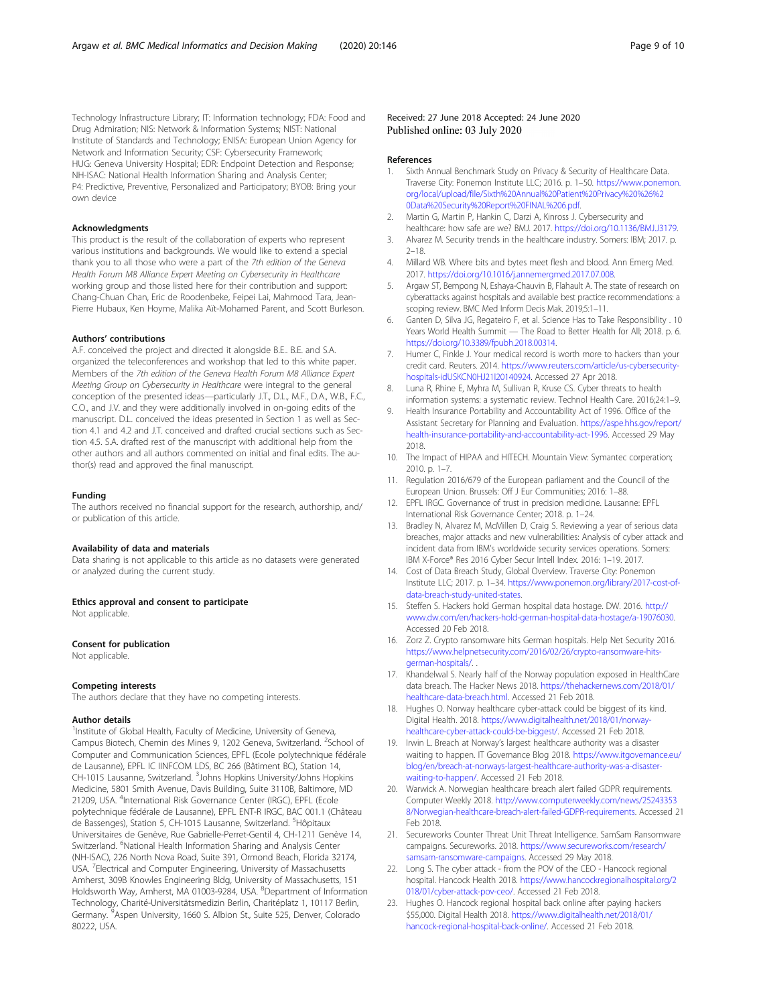<span id="page-8-0"></span>Technology Infrastructure Library; IT: Information technology; FDA: Food and Drug Admiration; NIS: Network & Information Systems; NIST: National Institute of Standards and Technology; ENISA: European Union Agency for Network and Information Security; CSF: Cybersecurity Framework; HUG: Geneva University Hospital; EDR: Endpoint Detection and Response; NH-ISAC: National Health Information Sharing and Analysis Center; P4: Predictive, Preventive, Personalized and Participatory; BYOB: Bring your own device

#### Acknowledgments

This product is the result of the collaboration of experts who represent various institutions and backgrounds. We would like to extend a special thank you to all those who were a part of the 7th edition of the Geneva Health Forum M8 Alliance Expert Meeting on Cybersecurity in Healthcare working group and those listed here for their contribution and support: Chang-Chuan Chan, Eric de Roodenbeke, Feipei Lai, Mahmood Tara, Jean-Pierre Hubaux, Ken Hoyme, Malika Aït-Mohamed Parent, and Scott Burleson.

#### Authors' contributions

A.F. conceived the project and directed it alongside B.E.. B.E. and S.A. organized the teleconferences and workshop that led to this white paper. Members of the 7th edition of the Geneva Health Forum M8 Alliance Expert Meeting Group on Cybersecurity in Healthcare were integral to the general conception of the presented ideas—particularly J.T., D.L., M.F., D.A., W.B., F.C., C.O., and J.V. and they were additionally involved in on-going edits of the manuscript. D.L. conceived the ideas presented in Section 1 as well as Section 4.1 and 4.2 and J.T. conceived and drafted crucial sections such as Section 4.5. S.A. drafted rest of the manuscript with additional help from the other authors and all authors commented on initial and final edits. The author(s) read and approved the final manuscript.

#### Funding

The authors received no financial support for the research, authorship, and/ or publication of this article.

#### Availability of data and materials

Data sharing is not applicable to this article as no datasets were generated or analyzed during the current study.

#### Ethics approval and consent to participate

Not applicable.

#### Consent for publication

Not applicable.

#### Competing interests

The authors declare that they have no competing interests.

#### Author details

<sup>1</sup>Institute of Global Health, Faculty of Medicine, University of Geneva, Campus Biotech, Chemin des Mines 9, 1202 Geneva, Switzerland. <sup>2</sup>School of Computer and Communication Sciences, EPFL (Ecole polytechnique fédérale de Lausanne), EPFL IC IINFCOM LDS, BC 266 (Bâtiment BC), Station 14, CH-1015 Lausanne, Switzerland. <sup>3</sup>Johns Hopkins University/Johns Hopkins Medicine, 5801 Smith Avenue, Davis Building, Suite 3110B, Baltimore, MD 21209, USA. <sup>4</sup>International Risk Governance Center (IRGC), EPFL (Ecole polytechnique fédérale de Lausanne), EPFL ENT-R IRGC, BAC 001.1 (Château .<br>de Bassenges), Station 5, CH-1015 Lausanne, Switzerland. <sup>5</sup>Hôpitaux Universitaires de Genève, Rue Gabrielle-Perret-Gentil 4, CH-1211 Genève 14, Switzerland. <sup>6</sup>National Health Information Sharing and Analysis Center (NH-ISAC), 226 North Nova Road, Suite 391, Ormond Beach, Florida 32174, USA. <sup>7</sup> Electrical and Computer Engineering, University of Massachusetts Amherst, 309B Knowles Engineering Bldg, University of Massachusetts, 151 Holdsworth Way, Amherst, MA 01003-9284, USA. <sup>8</sup>Department of Information Technology, Charité-Universitätsmedizin Berlin, Charitéplatz 1, 10117 Berlin, Germany. <sup>9</sup>Aspen University, 1660 S. Albion St., Suite 525, Denver, Colorado 80222, USA.

#### Received: 27 June 2018 Accepted: 24 June 2020 Published online: 03 July 2020

#### References

- 1. Sixth Annual Benchmark Study on Privacy & Security of Healthcare Data. Traverse City: Ponemon Institute LLC; 2016. p. 1–50. [https://www.ponemon.](https://www.ponemon.org/local/upload/file/Sixth%20Annual%20Patient%20Privacy%20%26%20Data%20Security%20Report%20FINAL%206.pdf) [org/local/upload/file/Sixth%20Annual%20Patient%20Privacy%20%26%2](https://www.ponemon.org/local/upload/file/Sixth%20Annual%20Patient%20Privacy%20%26%20Data%20Security%20Report%20FINAL%206.pdf) [0Data%20Security%20Report%20FINAL%206.pdf](https://www.ponemon.org/local/upload/file/Sixth%20Annual%20Patient%20Privacy%20%26%20Data%20Security%20Report%20FINAL%206.pdf).
- 2. Martin G, Martin P, Hankin C, Darzi A, Kinross J. Cybersecurity and healthcare: how safe are we? BMJ. 2017. [https://doi.org/10.1136/BMJ.J3179.](https://doi.org/10.1136/BMJ.J3179)
- 3. Alvarez M. Security trends in the healthcare industry. Somers: IBM; 2017. p. 2–18.
- 4. Millard WB. Where bits and bytes meet flesh and blood. Ann Emerg Med. 2017. <https://doi.org/10.1016/j.annemergmed.2017.07.008>.
- 5. Argaw ST, Bempong N, Eshaya-Chauvin B, Flahault A. The state of research on cyberattacks against hospitals and available best practice recommendations: a scoping review. BMC Med Inform Decis Mak. 2019;5:1–11.
- 6. Ganten D, Silva JG, Regateiro F, et al. Science Has to Take Responsibility . 10 Years World Health Summit — The Road to Better Health for All; 2018. p. 6. <https://doi.org/10.3389/fpubh.2018.00314>.
- 7. Humer C, Finkle J. Your medical record is worth more to hackers than your credit card. Reuters. 2014. [https://www.reuters.com/article/us-cybersecurity](https://www.reuters.com/article/us-cybersecurity-hospitals-idUSKCN0HJ21I20140924)[hospitals-idUSKCN0HJ21I20140924.](https://www.reuters.com/article/us-cybersecurity-hospitals-idUSKCN0HJ21I20140924) Accessed 27 Apr 2018.
- Luna R, Rhine E, Myhra M, Sullivan R, Kruse CS. Cyber threats to health information systems: a systematic review. Technol Health Care. 2016;24:1–9.
- 9. Health Insurance Portability and Accountability Act of 1996. Office of the Assistant Secretary for Planning and Evaluation. [https://aspe.hhs.gov/report/](https://aspe.hhs.gov/report/health-insurance-portability-and-accountability-act-1996) [health-insurance-portability-and-accountability-act-1996](https://aspe.hhs.gov/report/health-insurance-portability-and-accountability-act-1996). Accessed 29 May 2018.
- 10. The Impact of HIPAA and HITECH. Mountain View: Symantec corperation; 2010. p. 1–7.
- 11. Regulation 2016/679 of the European parliament and the Council of the European Union. Brussels: Off J Eur Communities; 2016: 1–88.
- 12. EPFL IRGC. Governance of trust in precision medicine. Lausanne: EPFL International Risk Governance Center; 2018. p. 1–24.
- 13. Bradley N, Alvarez M, McMillen D, Craig S. Reviewing a year of serious data breaches, major attacks and new vulnerabilities: Analysis of cyber attack and incident data from IBM's worldwide security services operations. Somers: IBM X-Force® Res 2016 Cyber Secur Intell Index. 2016: 1–19. 2017.
- 14. Cost of Data Breach Study, Global Overview. Traverse City: Ponemon Institute LLC; 2017. p. 1–34. [https://www.ponemon.org/library/2017-cost-of](https://www.ponemon.org/library/2017-cost-of-data-breach-study-united-states)[data-breach-study-united-states.](https://www.ponemon.org/library/2017-cost-of-data-breach-study-united-states)
- 15. Steffen S. Hackers hold German hospital data hostage. DW. 2016. [http://](http://www.dw.com/en/hackers-hold-german-hospital-data-hostage/a-19076030) [www.dw.com/en/hackers-hold-german-hospital-data-hostage/a-19076030](http://www.dw.com/en/hackers-hold-german-hospital-data-hostage/a-19076030). Accessed 20 Feb 2018.
- 16. Zorz Z. Crypto ransomware hits German hospitals. Help Net Security 2016. [https://www.helpnetsecurity.com/2016/02/26/crypto-ransomware-hits](https://www.helpnetsecurity.com/2016/02/26/crypto-ransomware-hits-german-hospitals/)[german-hospitals/](https://www.helpnetsecurity.com/2016/02/26/crypto-ransomware-hits-german-hospitals/)
- 17. Khandelwal S. Nearly half of the Norway population exposed in HealthCare data breach. The Hacker News 2018. [https://thehackernews.com/2018/01/](https://thehackernews.com/2018/01/healthcare-data-breach.html) [healthcare-data-breach.html.](https://thehackernews.com/2018/01/healthcare-data-breach.html) Accessed 21 Feb 2018.
- 18. Hughes O. Norway healthcare cyber-attack could be biggest of its kind. Digital Health. 2018. [https://www.digitalhealth.net/2018/01/norway](https://www.digitalhealth.net/2018/01/norway-healthcare-cyber-attack-could-be-biggest/)[healthcare-cyber-attack-could-be-biggest/.](https://www.digitalhealth.net/2018/01/norway-healthcare-cyber-attack-could-be-biggest/) Accessed 21 Feb 2018.
- 19. Irwin L. Breach at Norway's largest healthcare authority was a disaster waiting to happen. IT Governance Blog 2018. [https://www.itgovernance.eu/](https://www.itgovernance.eu/blog/en/breach-at-norways-largest-healthcare-authority-was-a-disaster-waiting-to-happen/) [blog/en/breach-at-norways-largest-healthcare-authority-was-a-disaster](https://www.itgovernance.eu/blog/en/breach-at-norways-largest-healthcare-authority-was-a-disaster-waiting-to-happen/)[waiting-to-happen/](https://www.itgovernance.eu/blog/en/breach-at-norways-largest-healthcare-authority-was-a-disaster-waiting-to-happen/). Accessed 21 Feb 2018.
- 20. Warwick A. Norwegian healthcare breach alert failed GDPR requirements. Computer Weekly 2018. [http://www.computerweekly.com/news/25243353](http://www.computerweekly.com/news/252433538/Norwegian-healthcare-breach-alert-failed-GDPR-requirements) [8/Norwegian-healthcare-breach-alert-failed-GDPR-requirements.](http://www.computerweekly.com/news/252433538/Norwegian-healthcare-breach-alert-failed-GDPR-requirements) Accessed 21 Feb 2018.
- 21. Secureworks Counter Threat Unit Threat Intelligence. SamSam Ransomware campaigns. Secureworks. 2018. [https://www.secureworks.com/research/](https://www.secureworks.com/research/samsam-ransomware-campaigns) [samsam-ransomware-campaigns.](https://www.secureworks.com/research/samsam-ransomware-campaigns) Accessed 29 May 2018.
- 22. Long S. The cyber attack from the POV of the CEO Hancock regional hospital. Hancock Health 2018. [https://www.hancockregionalhospital.org/2](https://www.hancockregionalhospital.org/2018/01/cyber-attack-pov-ceo/) [018/01/cyber-attack-pov-ceo/.](https://www.hancockregionalhospital.org/2018/01/cyber-attack-pov-ceo/) Accessed 21 Feb 2018.
- 23. Hughes O. Hancock regional hospital back online after paying hackers \$55,000. Digital Health 2018. [https://www.digitalhealth.net/2018/01/](https://www.digitalhealth.net/2018/01/hancock-regional-hospital-back-online/) [hancock-regional-hospital-back-online/](https://www.digitalhealth.net/2018/01/hancock-regional-hospital-back-online/). Accessed 21 Feb 2018.